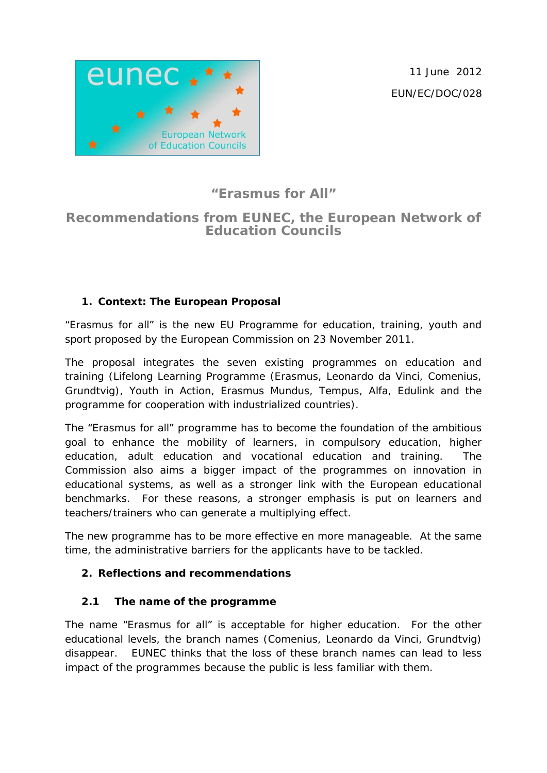11 June 2012 EUN/EC/DOC/028



# **"Erasmus for All"**

# **Recommendations from EUNEC, the European Network of Education Councils**

## **1. Context: The European Proposal**

"Erasmus for all" is the new EU Programme for education, training, youth and sport proposed by the European Commission on 23 November 2011.

The proposal integrates the seven existing programmes on education and training (Lifelong Learning Programme (Erasmus, Leonardo da Vinci, Comenius, Grundtvig), Youth in Action, Erasmus Mundus, Tempus, Alfa, Edulink and the programme for cooperation with industrialized countries).

The "Erasmus for all" programme has to become the foundation of the ambitious goal to enhance the mobility of learners, in compulsory education, higher education, adult education and vocational education and training. The Commission also aims a bigger impact of the programmes on innovation in educational systems, as well as a stronger link with the European educational benchmarks. For these reasons, a stronger emphasis is put on learners and teachers/trainers who can generate a multiplying effect.

The new programme has to be more effective en more manageable. At the same time, the administrative barriers for the applicants have to be tackled.

#### **2. Reflections and recommendations**

#### **2.1 The name of the programme**

The name "Erasmus for all" is acceptable for higher education. For the other educational levels, the branch names (Comenius, Leonardo da Vinci, Grundtvig) disappear. EUNEC thinks that the loss of these branch names can lead to less impact of the programmes because the public is less familiar with them.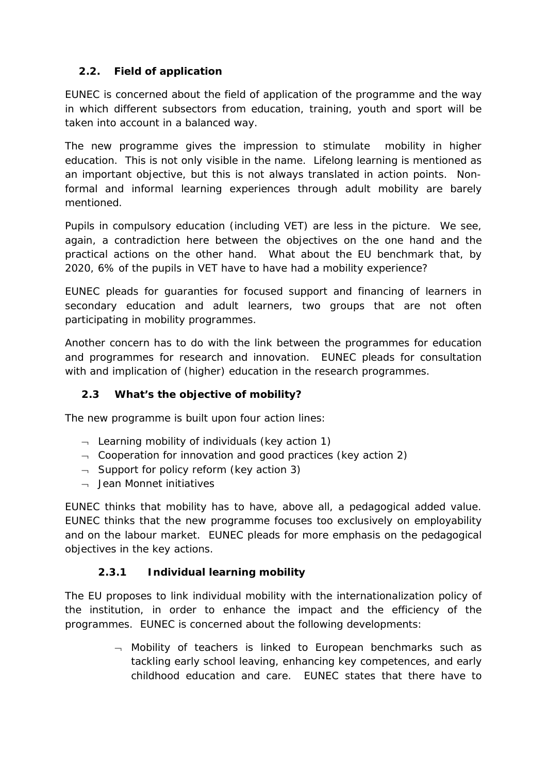## **2.2. Field of application**

EUNEC is concerned about the field of application of the programme and the way in which different subsectors from education, training, youth and sport will be taken into account in a balanced way.

The new programme gives the impression to stimulate mobility in higher education. This is not only visible in the name. Lifelong learning is mentioned as an important objective, but this is not always translated in action points. Nonformal and informal learning experiences through adult mobility are barely mentioned.

Pupils in compulsory education (including VET) are less in the picture. We see, again, a contradiction here between the objectives on the one hand and the practical actions on the other hand. What about the EU benchmark that, by 2020, 6% of the pupils in VET have to have had a mobility experience?

EUNEC pleads for guaranties for focused support and financing of learners in secondary education and adult learners, two groups that are not often participating in mobility programmes.

Another concern has to do with the link between the programmes for education and programmes for research and innovation. EUNEC pleads for consultation with and implication of (higher) education in the research programmes.

#### **2.3 What's the objective of mobility?**

The new programme is built upon four action lines:

- $\lnot$  Learning mobility of individuals (key action 1)
- $\lnot$  Cooperation for innovation and good practices (key action 2)
- $\lnot$  Support for policy reform (key action 3)
- $\neg$  Jean Monnet initiatives

EUNEC thinks that mobility has to have, above all, a pedagogical added value. EUNEC thinks that the new programme focuses too exclusively on employability and on the labour market. EUNEC pleads for more emphasis on the pedagogical objectives in the key actions.

#### **2.3.1 Individual learning mobility**

The EU proposes to link individual mobility with the internationalization policy of the institution, in order to enhance the impact and the efficiency of the programmes. EUNEC is concerned about the following developments:

> $\neg$  Mobility of teachers is linked to European benchmarks such as tackling early school leaving, enhancing key competences, and early childhood education and care. EUNEC states that there have to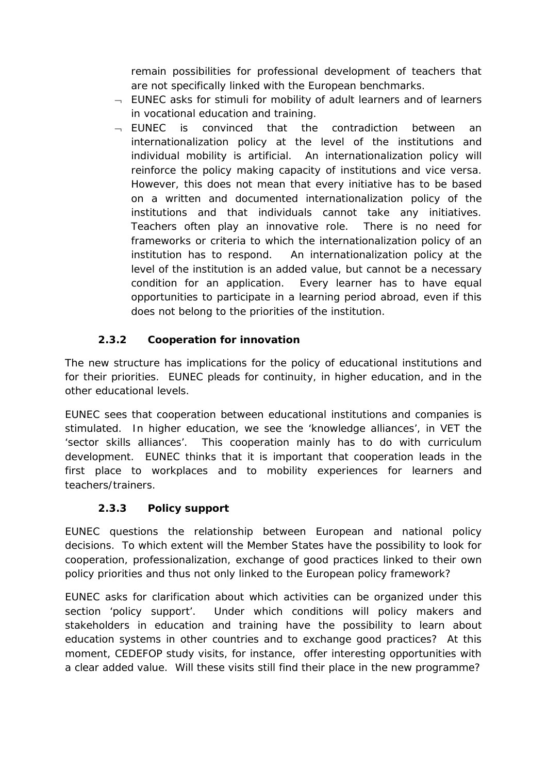remain possibilities for professional development of teachers that are not specifically linked with the European benchmarks.

- $\overline{\phantom{a}}$  EUNEC asks for stimuli for mobility of adult learners and of learners in vocational education and training.
- ¬ EUNEC is convinced that the contradiction between an internationalization policy at the level of the institutions and individual mobility is artificial. An internationalization policy will reinforce the policy making capacity of institutions and vice versa. However, this does not mean that every initiative has to be based on a written and documented internationalization policy of the institutions and that individuals cannot take any initiatives. Teachers often play an innovative role. There is no need for frameworks or criteria to which the internationalization policy of an institution has to respond. An internationalization policy at the level of the institution is an added value, but cannot be a necessary condition for an application. Every learner has to have equal opportunities to participate in a learning period abroad, even if this does not belong to the priorities of the institution.

# **2.3.2 Cooperation for innovation**

The new structure has implications for the policy of educational institutions and for their priorities. EUNEC pleads for continuity, in higher education, and in the other educational levels.

EUNEC sees that cooperation between educational institutions and companies is stimulated. In higher education, we see the 'knowledge alliances', in VET the 'sector skills alliances'. This cooperation mainly has to do with curriculum development. EUNEC thinks that it is important that cooperation leads in the first place to workplaces and to mobility experiences for learners and teachers/trainers.

#### **2.3.3 Policy support**

EUNEC questions the relationship between European and national policy decisions. To which extent will the Member States have the possibility to look for cooperation, professionalization, exchange of good practices linked to their own policy priorities and thus not only linked to the European policy framework?

EUNEC asks for clarification about which activities can be organized under this section 'policy support'. Under which conditions will policy makers and stakeholders in education and training have the possibility to learn about education systems in other countries and to exchange good practices? At this moment, CEDEFOP study visits, for instance, offer interesting opportunities with a clear added value. Will these visits still find their place in the new programme?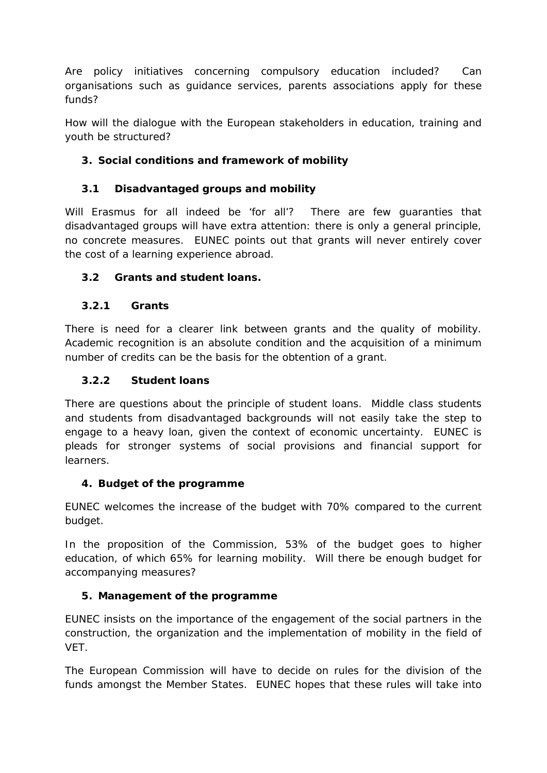Are policy initiatives concerning compulsory education included? Can organisations such as guidance services, parents associations apply for these funds?

How will the dialogue with the European stakeholders in education, training and youth be structured?

## **3. Social conditions and framework of mobility**

## **3.1 Disadvantaged groups and mobility**

Will Erasmus for all indeed be 'for all'? There are few guaranties that disadvantaged groups will have extra attention: there is only a general principle, no concrete measures. EUNEC points out that grants will never entirely cover the cost of a learning experience abroad.

#### **3.2 Grants and student loans.**

#### **3.2.1 Grants**

There is need for a clearer link between grants and the quality of mobility. Academic recognition is an absolute condition and the acquisition of a minimum number of credits can be the basis for the obtention of a grant.

#### **3.2.2 Student loans**

There are questions about the principle of student loans. Middle class students and students from disadvantaged backgrounds will not easily take the step to engage to a heavy loan, given the context of economic uncertainty. EUNEC is pleads for stronger systems of social provisions and financial support for learners.

#### **4. Budget of the programme**

EUNEC welcomes the increase of the budget with 70% compared to the current budget.

In the proposition of the Commission, 53% of the budget goes to higher education, of which 65% for learning mobility. Will there be enough budget for accompanying measures?

#### **5. Management of the programme**

EUNEC insists on the importance of the engagement of the social partners in the construction, the organization and the implementation of mobility in the field of VET.

The European Commission will have to decide on rules for the division of the funds amongst the Member States. EUNEC hopes that these rules will take into